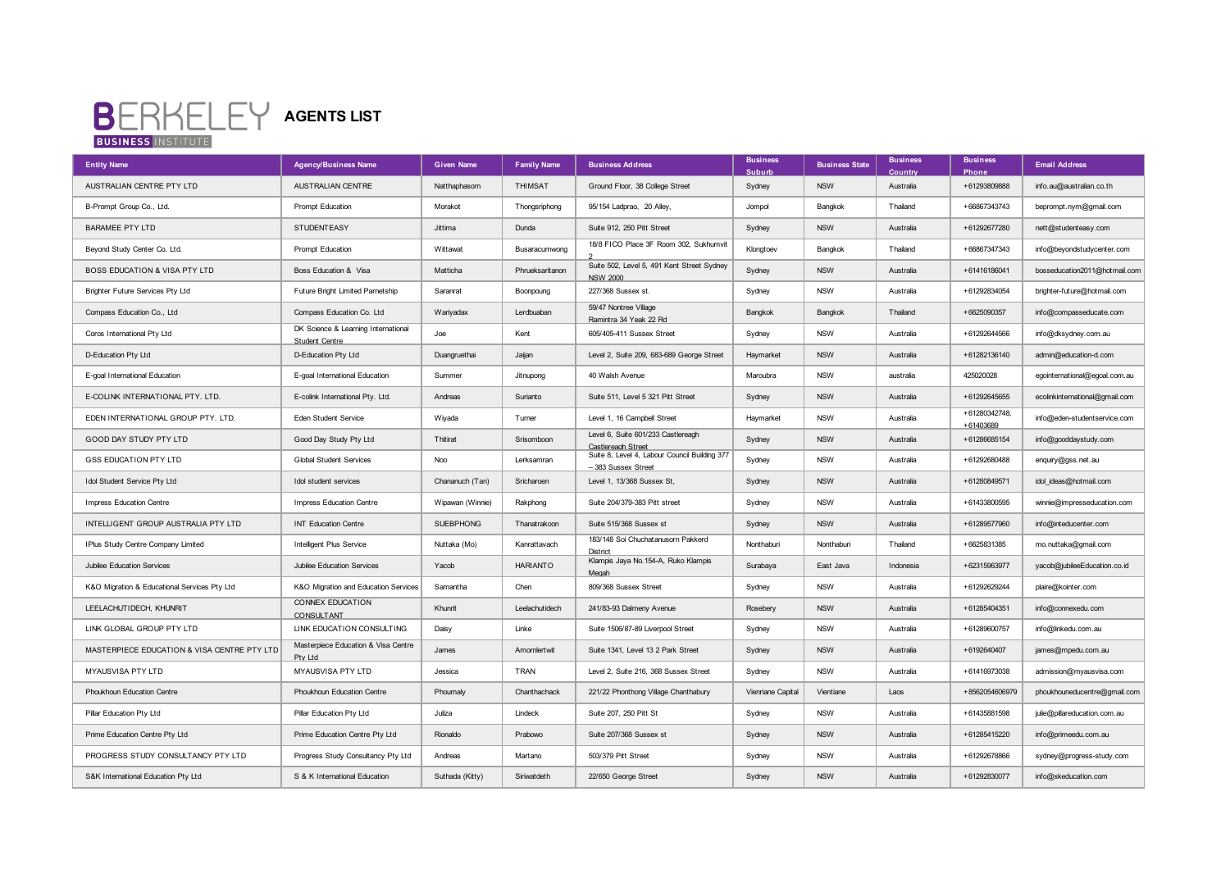## **BERKELEY** AGENTS LIST

| <b>Entity Name</b>                           | <b>Agency/Business Name</b>                           | <b>Given Name</b> | <b>Family Name</b> | <b>Business Address</b>                                              | <b>Business</b><br>Suburb | <b>Business State</b> | <b>Business</b><br>Country | <b>Business</b><br>Phone  | <b>Email Address</b>           |
|----------------------------------------------|-------------------------------------------------------|-------------------|--------------------|----------------------------------------------------------------------|---------------------------|-----------------------|----------------------------|---------------------------|--------------------------------|
| AUSTRALIAN CENTRE PTY LTD                    | AUSTRALIAN CENTRE                                     | Natthaphasorn     | <b>THIMSAT</b>     | Ground Floor, 38 College Street                                      | Sydney                    | <b>NSW</b>            | Australia                  | +61293809888              | info.au@australian.co.th       |
| B-Prompt Group Co., Ltd.                     | Prompt Education                                      | Morakot           | Thongsriphong      | 95/154 Ladprao, 20 Alley,                                            | Jompol                    | Bangkok               | Thailand                   | +66867343743              | beprompt.nym@gmail.com         |
| <b>BARAMEE PTY LTD</b>                       | <b>STUDENTEASY</b>                                    | Jittima           | Dunda              | Suite 912, 250 Pitt Street                                           | Sydney                    | <b>NSW</b>            | Australia                  | +61292677280              | nett@studenteasy.com           |
| Beyond Study Center Co. Ltd.                 | Prompt Education                                      | Wittawat          | Busaracumwong      | 18/8 FICO Place 3F Room 302, Sukhumvit                               | Klongtoev                 | Bangkok               | Thailand                   | +66867347343              | info@beyondstudycenter.com     |
| BOSS EDUCATION & VISA PTY LTD                | Boss Education & Visa                                 | Matticha          | Phrueksaritanon    | Suite 502, Level 5, 491 Kent Street Sydney<br><b>NSW 2000</b>        | Sydney                    | <b>NSW</b>            | Australia                  | +61416186041              | bosseducation2011@hotmail.com  |
| Brighter Future Services Pty Ltd             | Future Bright Limited Parnetship                      | Saranrat          | Boonpoung          | 227/368 Sussex st.                                                   | Sydney                    | <b>NSW</b>            | Australia                  | +61292834054              | brighter-future@hotmail.com    |
| Compass Education Co., Ltd                   | Compass Education Co. Ltd                             | Wariyadax         | Lerdbuaban         | 59/47 Nontree Village<br>Ramintra 34 Yeak 22 Rd                      | Bangkok                   | Bangkok               | Thailand                   | +6625090357               | info@compasseducate.com        |
| Coros International Pty Ltd                  | DK Science & Learning International<br>Student Centre | Joe               | Kent               | 605/405-411 Sussex Street                                            | Sydney                    | <b>NSW</b>            | Australia                  | +61292644566              | info@dksydney.com.au           |
| D-Education Pty Ltd                          | D-Education Pty Ltd                                   | Duangruethai      | Jaijan             | Level 2, Suite 209, 683-689 George Street                            | Haymarket                 | <b>NSW</b>            | Australia                  | +61282136140              | admin@education-d.com          |
| E-goal International Education               | E-goal International Education                        | Summer            | Jitnupong          | 40 Walsh Avenue                                                      | Maroubra                  | <b>NSW</b>            | australia                  | 425020028                 | egointernational@egoal.com.au  |
| E-COLINK INTERNATIONAL PTY. LTD.             | E-colink International Pty. Ltd.                      | Andreas           | Surianto           | Suite 511, Level 5 321 Pitt Street                                   | Sydney                    | <b>NSW</b>            | Australia                  | +61292645655              | ecolinkinternational@gmail.com |
| EDEN INTERNATIONAL GROUP PTY. LTD.           | Eden Student Service                                  | Wiyada            | Turner             | Level 1, 16 Campbell Street                                          | Haymarket                 | <b>NSW</b>            | Australia                  | +61280342748<br>+61403689 | info@eden-studentservice.com   |
| GOOD DAY STUDY PTY LTD                       | Good Day Study Pty Ltd                                | Thitirat          | Srisomboon         | Level 6, Suite 601/233 Castlereagh<br>Castlereagh Street             | Sydney                    | <b>NSW</b>            | Australia                  | +61286685154              | info@gooddaystudy.com          |
| <b>GSS EDUCATION PTY LTD</b>                 | Global Student Services                               | Noo               | Lerksamran         | Suite 8, Level 4, Labour Council Building 377<br>- 383 Sussex Street | Sydney                    | <b>NSW</b>            | Australia                  | +61292680488              | enquiry@gss.net.au             |
| Idol Student Service Pty Ltd                 | Idol student services                                 | Chananuch (Tan)   | Sricharoen         | Level 1, 13/368 Sussex St,                                           | Sydney                    | <b>NSW</b>            | Australia                  | +61280849571              | idol ideas@hotmail.com         |
| Impress Education Centre                     | Impress Education Centre                              | Wipawan (Winnie)  | Rakphong           | Suite 204/379-383 Pitt street                                        | Sydney                    | <b>NSW</b>            | Australia                  | +61433800595              | winnie@impresseducation.com    |
| INTELLIGENT GROUP AUSTRALIA PTY LTD          | <b>INT Education Centre</b>                           | <b>SUEBPHONG</b>  | Thanatrakoon       | Suite 515/368 Sussex st                                              | Sydney                    | <b>NSW</b>            | Australia                  | +61289577960              | info@inteducenter.com          |
| IPlus Study Centre Company Limited           | Intelligent Plus Service                              | Nuttaka (Mo)      | Kanrattavach       | 183/148 Soi Chuchatanusorn Pakkerd<br>District                       | Nonthaburi                | Nonthaburi            | Thailand                   | +6625831385               | mo.nuttaka@gmail.com           |
| Jubilee Education Services                   | Jubilee Education Services                            | Yacob             | <b>HARIANTO</b>    | Klampis Jaya No. 154-A, Ruko Klampis<br>Meaah                        | Surabaya                  | East Java             | Indonesia                  | +62315963977              | yacob@jubileeEducation.co.id   |
| K&O Migration & Educational Services Pty Ltd | K&O Migration and Education Services                  | Samantha          | Chen               | 809/368 Sussex Street                                                | Sydney                    | <b>NSW</b>            | Australia                  | +61292629244              | plaire@kointer.com             |
| LEELACHUTIDECH, KHUNRIT                      | CONNEX EDUCATION<br>CONSULTANT                        | Khunrit           | Leelachutidech     | 241/83-93 Dalmeny Avenue                                             | Rosebery                  | <b>NSW</b>            | Australia                  | +61285404351              | info@connexedu.com             |
| LINK GLOBAL GROUP PTY LTD                    | LINK EDUCATION CONSULTING                             | Daisy             | Linke              | Suite 1506/87-89 Liverpool Street                                    | Sydney                    | <b>NSW</b>            | Australia                  | +61289600757              | info@linkedu.com.au            |
| MASTERPIECE EDUCATION & VISA CENTRE PTY LTD  | Masterpiece Education & Visa Centre<br>Ptv Ltd        | James             | Amornlertwit       | Suite 1341, Level 13 2 Park Street                                   | Sydney                    | <b>NSW</b>            | Australia                  | +6192640407               | james@mpedu.com.au             |
| MYAUSVISA PTY LTD                            | MYAUSVISA PTY LTD                                     | Jessica           | TRAN               | Level 2, Suite 216, 368 Sussex Street                                | Sydney                    | <b>NSW</b>            | Australia                  | +61416973038              | admission@myausvisa.com        |
| Phoukhoun Education Centre                   | Phoukhoun Education Centre                            | Phoumaly          | Chanthachack       | 221/22 Phonthong Village Chanthabury                                 | Vienriane Capital         | Vientiane             | Laos                       | +8562054606979            | phoukhouneducentre@gmail.com   |
| Pillar Education Pty Ltd                     | Pillar Education Pty Ltd                              | Juliza            | Lindeck            | Suite 207, 250 Pitt St                                               | Sydney                    | <b>NSW</b>            | Australia                  | +61435881598              | julie@pillareducation.com.au   |
| Prime Education Centre Pty Ltd               | Prime Education Centre Pty Ltd                        | Rionaldo          | Prabowo            | Suite 207/368 Sussex st                                              | Sydney                    | <b>NSW</b>            | Australia                  | +61285415220              | info@primeedu.com.au           |
| PROGRESS STUDY CONSULTANCY PTY LTD           | Progress Study Consultancy Pty Ltd                    | Andreas           | Martano            | 503/379 Pitt Street                                                  | Sydney                    | <b>NSW</b>            | Australia                  | +61292678866              | sydney@progress-study.com      |
| S&K International Education Pty Ltd          | S & K International Education                         | Suthada (Kitty)   | Siriwatdeth        | 22/650 George Street                                                 | Sydney                    | <b>NSW</b>            | Australia                  | +61292830077              | info@skeducation.com           |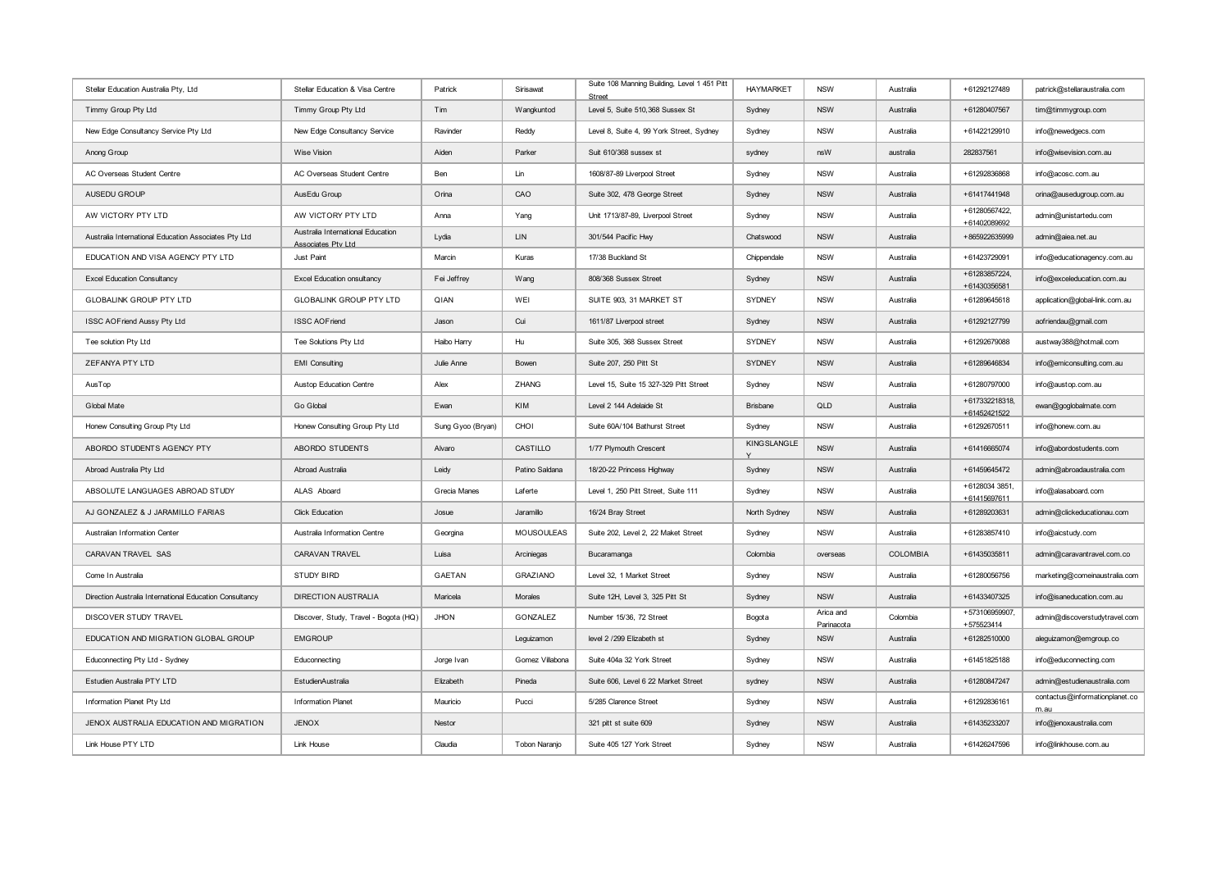| Stellar Education Australia Pty, Ltd                    | Stellar Education & Visa Centre                         | Patrick           | Sirisawat       | Suite 108 Manning Building, Level 1 451 Pitt<br><b>Street</b> | <b>HAYMARKET</b> | <b>NSW</b>              | Australia | +61292127489                   | patrick@stellaraustralia.com           |
|---------------------------------------------------------|---------------------------------------------------------|-------------------|-----------------|---------------------------------------------------------------|------------------|-------------------------|-----------|--------------------------------|----------------------------------------|
| Timmy Group Pty Ltd                                     | Timmy Group Pty Ltd                                     | Tim               | Wangkuntod      | Level 5, Suite 510,368 Sussex St                              | Sydney           | <b>NSW</b>              | Australia | +61280407567                   | tim@timmygroup.com                     |
| New Edge Consultancy Service Pty Ltd                    | New Edge Consultancy Service                            | Ravinder          | Reddy           | Level 8, Suite 4, 99 York Street, Sydney                      | Sydney           | <b>NSW</b>              | Australia | +61422129910                   | info@newedgecs.com                     |
| Anong Group                                             | <b>Wise Vision</b>                                      | Aiden             | Parker          | Suit 610/368 sussex st                                        | sydney           | nsW                     | australia | 282837561                      | info@wisevision.com.au                 |
| AC Overseas Student Centre                              | AC Overseas Student Centre                              | Ben               | Lin             | 1608/87-89 Liverpool Street                                   | Sydney           | <b>NSW</b>              | Australia | +61292836868                   | info@acosc.com.au                      |
| AUSEDU GROUP                                            | AusEdu Group                                            | Orina             | CAO             | Suite 302, 478 George Street                                  | Sydney           | <b>NSW</b>              | Australia | +61417441948                   | orina@ausedugroup.com.au               |
| AW VICTORY PTY LTD                                      | AW VICTORY PTY LTD                                      | Anna              | Yang            | Unit 1713/87-89, Liverpool Street                             | Sydney           | <b>NSW</b>              | Australia | +61280567422,<br>+61402089692  | admin@unistartedu.com                  |
| Australia International Education Associates Pty Ltd    | Australia International Education<br>Associates Ptv Ltd | Lydia             | <b>LIN</b>      | 301/544 Pacific Hwy                                           | Chatswood        | <b>NSW</b>              | Australia | +865922635999                  | admin@aiea.net.au                      |
| EDUCATION AND VISA AGENCY PTY LTD                       | Just Paint                                              | Marcin            | Kuras           | 17/38 Buckland St                                             | Chippendale      | <b>NSW</b>              | Australia | +61423729091                   | info@educationagency.com.au            |
| <b>Excel Education Consultancy</b>                      | <b>Excel Education onsultancy</b>                       | Fei Jeffrey       | Wang            | 808/368 Sussex Street                                         | Sydney           | <b>NSW</b>              | Australia | +61283857224,<br>+61430356581  | info@exceleducation.com.au             |
| <b>GLOBALINK GROUP PTY LTD</b>                          | <b>GLOBALINK GROUP PTY LTD</b>                          | QIAN              | WEI             | SUITE 903, 31 MARKET ST                                       | <b>SYDNEY</b>    | <b>NSW</b>              | Australia | +61289645618                   | application@global-link.com.au         |
| ISSC AOFriend Aussy Pty Ltd                             | <b>ISSC AOFriend</b>                                    | Jason             | Cui             | 1611/87 Liverpool street                                      | Sydney           | <b>NSW</b>              | Australia | +61292127799                   | aofriendau@gmail.com                   |
| Tee solution Pty Ltd                                    | Tee Solutions Pty Ltd                                   | Haibo Harry       | Hu              | Suite 305, 368 Sussex Street                                  | <b>SYDNEY</b>    | <b>NSW</b>              | Australia | +61292679088                   | austway388@hotmail.com                 |
| ZEFANYA PTY LTD                                         | <b>EMI</b> Consulting                                   | Julie Anne        | Bowen           | Suite 207, 250 Pitt St                                        | <b>SYDNEY</b>    | <b>NSW</b>              | Australia | +61289646834                   | info@emiconsulting.com.au              |
| AusTop                                                  | Austop Education Centre                                 | Alex              | ZHANG           | Level 15, Suite 15 327-329 Pitt Street                        | Sydney           | <b>NSW</b>              | Australia | +61280797000                   | info@austop.com.au                     |
| Global Mate                                             | Go Global                                               | Ewan              | KIM             | Level 2 144 Adelaide St                                       | <b>Brisbane</b>  | QLD                     | Australia | +617332218318,<br>+61452421522 | ewan@goglobalmate.com                  |
| Honew Consulting Group Pty Ltd                          | Honew Consulting Group Pty Ltd                          | Sung Gyoo (Bryan) | CHOI            | Suite 60A/104 Bathurst Street                                 | Sydney           | <b>NSW</b>              | Australia | +61292670511                   | info@honew.com.au                      |
| ABORDO STUDENTS AGENCY PTY                              | ABORDO STUDENTS                                         | Alvaro            | CASTILLO        | 1/77 Plymouth Crescent                                        | KINGSLANGLE      | <b>NSW</b>              | Australia | +61416665074                   | info@abordostudents.com                |
| Abroad Australia Pty Ltd                                | Abroad Australia                                        | Leidy             | Patino Saldana  | 18/20-22 Princess Highway                                     | Sydney           | <b>NSW</b>              | Australia | +61459645472                   | admin@abroadaustralia.com              |
| ABSOLUTE LANGUAGES ABROAD STUDY                         | ALAS Aboard                                             | Grecia Manes      | Laferte         | Level 1, 250 Pitt Street, Suite 111                           | Sydney           | <b>NSW</b>              | Australia | +6128034 3851,<br>+61415697611 | info@alasaboard.com                    |
| AJ GONZALEZ & J JARAMILLO FARIAS                        | <b>Click Education</b>                                  | Josue             | Jaramillo       | 16/24 Bray Street                                             | North Sydney     | <b>NSW</b>              | Australia | +61289203631                   | admin@clickeducationau.com             |
| Australian Information Center                           | Australia Information Centre                            | Georgina          | MOUSOULEAS      | Suite 202, Level 2, 22 Maket Street                           | Sydney           | <b>NSW</b>              | Australia | +61283857410                   | info@aicstudy.com                      |
| CARAVAN TRAVEL SAS                                      | CARAVAN TRAVEL                                          | Luisa             | Arciniegas      | Bucaramanga                                                   | Colombia         | overseas                | COLOMBIA  | +61435035811                   | admin@caravantravel.com.co             |
| Come In Australia                                       | <b>STUDY BIRD</b>                                       | GAETAN            | <b>GRAZIANO</b> | Level 32, 1 Market Street                                     | Sydney           | <b>NSW</b>              | Australia | +61280056756                   | marketing@comeinaustralia.com          |
| Direction Australia International Education Consultancy | <b>DIRECTION AUSTRALIA</b>                              | Maricela          | Morales         | Suite 12H. Level 3, 325 Pitt St                               | Sydney           | <b>NSW</b>              | Australia | +61433407325                   | info@isaneducation.com.au              |
| DISCOVER STUDY TRAVEL                                   | Discover, Study, Travel - Bogota (HQ)                   | <b>JHON</b>       | GONZALEZ        | Number 15/36, 72 Street                                       | Bogota           | Arica and<br>Parinacota | Colombia  | +573106959907,<br>+575523414   | admin@discoverstudytravel.com          |
| EDUCATION AND MIGRATION GLOBAL GROUP                    | <b>EMGROUP</b>                                          |                   | Leguizamon      | level 2 /299 Elizabeth st                                     | Sydney           | <b>NSW</b>              | Australia | +61282510000                   | aleguizamon@emgroup.co                 |
| Educonnecting Pty Ltd - Sydney                          | Educonnecting                                           | Jorge Ivan        | Gomez Villabona | Suite 404a 32 York Street                                     | Sydney           | <b>NSW</b>              | Australia | +61451825188                   | info@educonnecting.com                 |
| Estudien Australia PTY LTD                              | EstudienAustralia                                       | Elizabeth         | Pineda          | Suite 606, Level 6 22 Market Street                           | sydney           | <b>NSW</b>              | Australia | +61280847247                   | admin@estudienaustralia.com            |
| Information Planet Pty Ltd                              | Information Planet                                      | Mauricio          | Pucci           | 5/285 Clarence Street                                         | Sydney           | <b>NSW</b>              | Australia | +61292836161                   | contactus@informationplanet.co<br>m.au |
| JENOX AUSTRALIA EDUCATION AND MIGRATION                 | <b>JENOX</b>                                            | Nestor            |                 | 321 pitt st suite 609                                         | Sydney           | <b>NSW</b>              | Australia | +61435233207                   | info@jenoxaustralia.com                |
| Link House PTY LTD                                      | Link House                                              | Claudia           | Tobon Naranjo   | Suite 405 127 York Street                                     | Sydney           | <b>NSW</b>              | Australia | +61426247596                   | info@linkhouse.com.au                  |